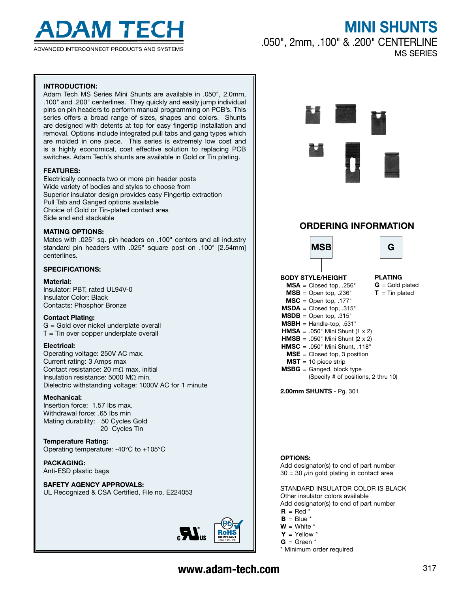

ADVANCED INTERCONNECT PRODUCTS AND SYSTEMS

# MINI SHUNTS

.050", 2mm, .100" & .200" CENTERLINE MS SERIES

## Introduction:

Adam Tech MS Series Mini Shunts are available in .050", 2.0mm, .100" and .200" centerlines. They quickly and easily jump individual pins on pin headers to perform manual programming on PCB's. This series offers a broad range of sizes, shapes and colors. Shunts are designed with detents at top for easy fingertip installation and removal. Options include integrated pull tabs and gang types which are molded in one piece. This series is extremely low cost and is a highly economical, cost effective solution to replacing PCB switches. Adam Tech's shunts are available in Gold or Tin plating.

#### **FEATURES:**

Electrically connects two or more pin header posts Wide variety of bodies and styles to choose from Superior insulator design provides easy Fingertip extraction Pull Tab and Ganged options available Choice of Gold or Tin-plated contact area Side and end stackable

#### **MATING OPTIONS:**

Mates with .025" sq. pin headers on .100" centers and all industry standard pin headers with .025" square post on .100" [2.54mm] centerlines.

#### Specifications:

#### Material:

Insulator: PBT, rated UL94V-0 Insulator Color: Black Contacts: Phosphor Bronze

#### Contact Plating:

G = Gold over nickel underplate overall  $T =$  Tin over copper underplate overall

#### Electrical:

Operating voltage: 250V AC max. Current rating: 3 Amps max Contact resistance: 20 mΩ max. initial Insulation resistance: 5000 MΩ min. Dielectric withstanding voltage: 1000V AC for 1 minute

#### Mechanical:

Insertion force: 1.57 lbs max. Withdrawal force: .65 lbs min Mating durability: 50 Cycles Gold 20 Cycles Tin

Temperature Rating: Operating temperature: -40°C to +105°C

#### Packaging:

Anti-ESD plastic bags

### Safety Agency Approvals:

UL Recognized & CSA Certified, File no. E224053





## ORDERING INFORMATION



2.00mm SHUNTS - Pg. 301

#### OPTIONS:

Add designator(s) to end of part number  $30 = 30 \mu$ in gold plating in contact area

STANDARD INSULATOR COLOR IS BLACK Other insulator colors available Add designator(s) to end of part number

- $R = Red*$
- $B = Blue'$
- $W =$  White  $*$
- $Y = Y$ ellow \*
- $G =$  Green  $*$

\* Minimum order required

## www.adam-tech.com 317